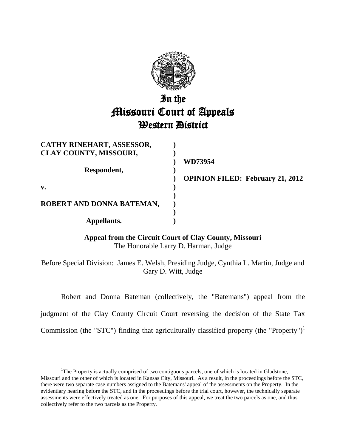

# In the Missouri Court of Appeals **Western District**

| CATHY RINEHART, ASSESSOR,     |                |
|-------------------------------|----------------|
| <b>CLAY COUNTY, MISSOURI,</b> |                |
|                               | WD73954        |
| Respondent,                   |                |
|                               | <b>OPINION</b> |
| v.                            |                |
|                               |                |
| ROBERT AND DONNA BATEMAN,     |                |
|                               |                |
| Appellants.                   |                |

 $\overline{a}$ 

**OPINION FILED: February 21, 2012**

**Appeal from the Circuit Court of Clay County, Missouri** The Honorable Larry D. Harman, Judge

Before Special Division: James E. Welsh, Presiding Judge, Cynthia L. Martin, Judge and Gary D. Witt, Judge

Robert and Donna Bateman (collectively, the "Batemans") appeal from the

judgment of the Clay County Circuit Court reversing the decision of the State Tax

Commission (the "STC") finding that agriculturally classified property (the "Property")<sup>1</sup>

<sup>&</sup>lt;sup>1</sup>The Property is actually comprised of two contiguous parcels, one of which is located in Gladstone, Missouri and the other of which is located in Kansas City, Missouri. As a result, in the proceedings before the STC, there were two separate case numbers assigned to the Batemans' appeal of the assessments on the Property. In the evidentiary hearing before the STC, and in the proceedings before the trial court, however, the technically separate assessments were effectively treated as one. For purposes of this appeal, we treat the two parcels as one, and thus collectively refer to the two parcels as the Property.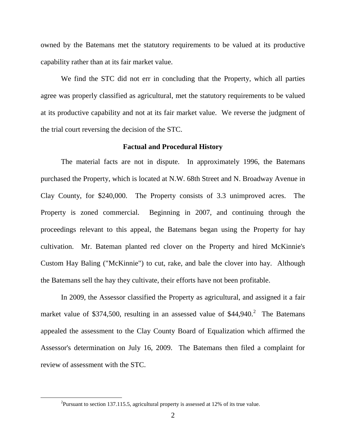owned by the Batemans met the statutory requirements to be valued at its productive capability rather than at its fair market value.

We find the STC did not err in concluding that the Property, which all parties agree was properly classified as agricultural, met the statutory requirements to be valued at its productive capability and not at its fair market value. We reverse the judgment of the trial court reversing the decision of the STC.

#### **Factual and Procedural History**

The material facts are not in dispute. In approximately 1996, the Batemans purchased the Property, which is located at N.W. 68th Street and N. Broadway Avenue in Clay County, for \$240,000. The Property consists of 3.3 unimproved acres. The Property is zoned commercial. Beginning in 2007, and continuing through the proceedings relevant to this appeal, the Batemans began using the Property for hay cultivation. Mr. Bateman planted red clover on the Property and hired McKinnie's Custom Hay Baling ("McKinnie") to cut, rake, and bale the clover into hay. Although the Batemans sell the hay they cultivate, their efforts have not been profitable.

In 2009, the Assessor classified the Property as agricultural, and assigned it a fair market value of \$374,500, resulting in an assessed value of  $$44,940$ <sup>2</sup> The Batemans appealed the assessment to the Clay County Board of Equalization which affirmed the Assessor's determination on July 16, 2009. The Batemans then filed a complaint for review of assessment with the STC.

<sup>&</sup>lt;sup>2</sup>Pursuant to section 137.115.5, agricultural property is assessed at 12% of its true value.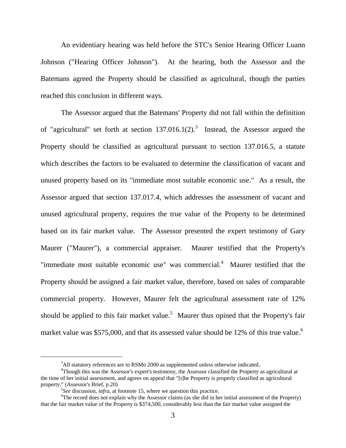An evidentiary hearing was held before the STC's Senior Hearing Officer Luann Johnson ("Hearing Officer Johnson"). At the hearing, both the Assessor and the Batemans agreed the Property should be classified as agricultural, though the parties reached this conclusion in different ways.

The Assessor argued that the Batemans' Property did not fall within the definition of "agricultural" set forth at section  $137.016.1(2)$ .<sup>3</sup> Instead, the Assessor argued the Property should be classified as agricultural pursuant to section 137.016.5, a statute which describes the factors to be evaluated to determine the classification of vacant and unused property based on its "immediate most suitable economic use." As a result, the Assessor argued that section 137.017.4, which addresses the assessment of vacant and unused agricultural property, requires the true value of the Property to be determined based on its fair market value. The Assessor presented the expert testimony of Gary Maurer ("Maurer"), a commercial appraiser. Maurer testified that the Property's "immediate most suitable economic use" was commercial.<sup>4</sup> Maurer testified that the Property should be assigned a fair market value, therefore, based on sales of comparable commercial property. However, Maurer felt the agricultural assessment rate of 12% should be applied to this fair market value.<sup>5</sup> Maurer thus opined that the Property's fair market value was \$575,000, and that its assessed value should be 12% of this true value.<sup>6</sup>

<sup>&</sup>lt;sup>3</sup>All statutory references are to RSMo 2000 as supplemented unless otherwise indicated.

<sup>4</sup>Though this was the Assessor's expert's testimony, the Assessor classified the Property as agricultural at the time of her initial assessment, and agrees on appeal that "[t]he Property is properly classified as agricultural property." (Assessor's Brief, p.20)

<sup>5</sup> *See* discussion, *infra*, at footnote 15, where we question this practice.

<sup>&</sup>lt;sup>6</sup>The record does not explain why the Assessor claims (as she did in her initial assessment of the Property) that the fair market value of the Property is \$374,500, considerably less than the fair market value assigned the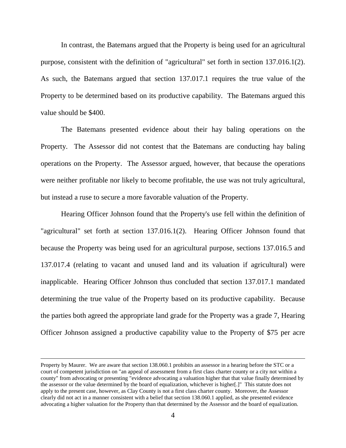In contrast, the Batemans argued that the Property is being used for an agricultural purpose, consistent with the definition of "agricultural" set forth in section 137.016.1(2). As such, the Batemans argued that section 137.017.1 requires the true value of the Property to be determined based on its productive capability. The Batemans argued this value should be \$400.

The Batemans presented evidence about their hay baling operations on the Property. The Assessor did not contest that the Batemans are conducting hay baling operations on the Property. The Assessor argued, however, that because the operations were neither profitable nor likely to become profitable, the use was not truly agricultural, but instead a ruse to secure a more favorable valuation of the Property.

Hearing Officer Johnson found that the Property's use fell within the definition of "agricultural" set forth at section 137.016.1(2). Hearing Officer Johnson found that because the Property was being used for an agricultural purpose, sections 137.016.5 and 137.017.4 (relating to vacant and unused land and its valuation if agricultural) were inapplicable. Hearing Officer Johnson thus concluded that section 137.017.1 mandated determining the true value of the Property based on its productive capability. Because the parties both agreed the appropriate land grade for the Property was a grade 7, Hearing Officer Johnson assigned a productive capability value to the Property of \$75 per acre

Property by Maurer. We are aware that section 138.060.1 prohibits an assessor in a hearing before the STC or a court of competent jurisdiction on "an appeal of assessment from a first class charter county or a city not within a county" from advocating or presenting "evidence advocating a valuation higher that that value finally determined by the assessor or the value determined by the board of equalization, whichever is higher[.]" This statute does not apply to the present case, however, as Clay County is not a first class charter county. Moreover, the Assessor clearly did not act in a manner consistent with a belief that section 138.060.1 applied, as she presented evidence advocating a higher valuation for the Property than that determined by the Assessor and the board of equalization.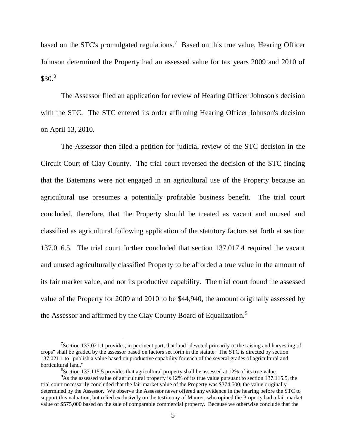based on the STC's promulgated regulations.<sup>7</sup> Based on this true value, Hearing Officer Johnson determined the Property had an assessed value for tax years 2009 and 2010 of  $$30.<sup>8</sup>$ 

The Assessor filed an application for review of Hearing Officer Johnson's decision with the STC. The STC entered its order affirming Hearing Officer Johnson's decision on April 13, 2010.

The Assessor then filed a petition for judicial review of the STC decision in the Circuit Court of Clay County. The trial court reversed the decision of the STC finding that the Batemans were not engaged in an agricultural use of the Property because an agricultural use presumes a potentially profitable business benefit. The trial court concluded, therefore, that the Property should be treated as vacant and unused and classified as agricultural following application of the statutory factors set forth at section 137.016.5. The trial court further concluded that section 137.017.4 required the vacant and unused agriculturally classified Property to be afforded a true value in the amount of its fair market value, and not its productive capability. The trial court found the assessed value of the Property for 2009 and 2010 to be \$44,940, the amount originally assessed by the Assessor and affirmed by the Clay County Board of Equalization.<sup>9</sup>

<sup>&</sup>lt;sup>7</sup>Section 137.021.1 provides, in pertinent part, that land "devoted primarily to the raising and harvesting of crops" shall be graded by the assessor based on factors set forth in the statute. The STC is directed by section 137.021.1 to "publish a value based on productive capability for each of the several grades of agricultural and horticultural land."

 ${}^{8}$ Section 137.115.5 provides that agricultural property shall be assessed at 12% of its true value.

<sup>&</sup>lt;sup>9</sup>As the assessed value of agricultural property is 12% of its true value pursuant to section 137.115.5, the trial court necessarily concluded that the fair market value of the Property was \$374,500, the value originally determined by the Assessor. We observe the Assessor never offered any evidence in the hearing before the STC to support this valuation, but relied exclusively on the testimony of Maurer, who opined the Property had a fair market value of \$575,000 based on the sale of comparable commercial property. Because we otherwise conclude that the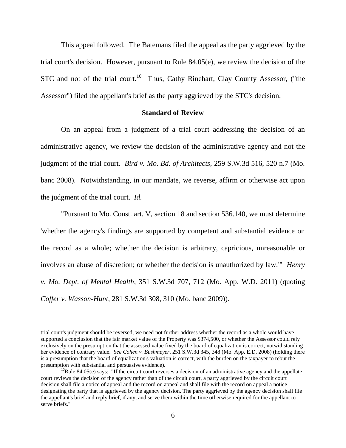This appeal followed. The Batemans filed the appeal as the party aggrieved by the trial court's decision. However, pursuant to Rule 84.05(e), we review the decision of the STC and not of the trial court.<sup>10</sup> Thus, Cathy Rinehart, Clay County Assessor, ("the Assessor") filed the appellant's brief as the party aggrieved by the STC's decision.

### **Standard of Review**

On an appeal from a judgment of a trial court addressing the decision of an administrative agency, we review the decision of the administrative agency and not the judgment of the trial court. *Bird v. Mo. Bd. of Architects*, 259 S.W.3d 516, 520 n.7 (Mo. banc 2008). Notwithstanding, in our mandate, we reverse, affirm or otherwise act upon the judgment of the trial court. *Id.*

"Pursuant to Mo. Const. art. V, section 18 and section 536.140, we must determine 'whether the agency's findings are supported by competent and substantial evidence on the record as a whole; whether the decision is arbitrary, capricious, unreasonable or involves an abuse of discretion; or whether the decision is unauthorized by law.'" *Henry v. Mo. Dept. of Mental Health*, 351 S.W.3d 707, 712 (Mo. App. W.D. 2011) (quoting *Coffer v. Wasson-Hunt*, 281 S.W.3d 308, 310 (Mo. banc 2009)).

trial court's judgment should be reversed, we need not further address whether the record as a whole would have supported a conclusion that the fair market value of the Property was \$374,500, or whether the Assessor could rely exclusively on the presumption that the assessed value fixed by the board of equalization is correct, notwithstanding her evidence of contrary value. *See Cohen v. Bushmeyer*, 251 S.W.3d 345, 348 (Mo. App. E.D. 2008) (holding there is a presumption that the board of equalization's valuation is correct, with the burden on the taxpayer to rebut the presumption with substantial and persuasive evidence).

<sup>&</sup>lt;sup>10</sup>Rule 84.05(e) says: "If the circuit court reverses a decision of an administrative agency and the appellate court reviews the decision of the agency rather than of the circuit court, a party aggrieved by the circuit court decision shall file a notice of appeal and the record on appeal and shall file with the record on appeal a notice designating the party that is aggrieved by the agency decision. The party aggrieved by the agency decision shall file the appellant's brief and reply brief, if any, and serve them within the time otherwise required for the appellant to serve briefs."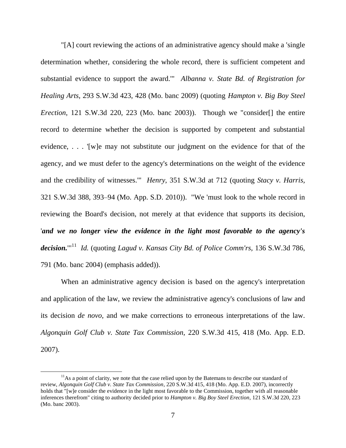"[A] court reviewing the actions of an administrative agency should make a 'single determination whether, considering the whole record, there is sufficient competent and substantial evidence to support the award.'" *Albanna v. State Bd. of Registration for Healing Arts,* 293 S.W.3d 423, 428 (Mo. banc 2009) (quoting *Hampton v. Big Boy Steel Erection*, 121 S.W.3d 220, 223 (Mo. banc 2003)). Though we "consider[] the entire record to determine whether the decision is supported by competent and substantial evidence, . . . '[w]e may not substitute our judgment on the evidence for that of the agency, and we must defer to the agency's determinations on the weight of the evidence and the credibility of witnesses.'" *Henry*, 351 S.W.3d at 712 (quoting *Stacy v. Harris,* 321 S.W.3d 388, 393–94 (Mo. App. S.D. 2010)). "We 'must look to the whole record in reviewing the Board's decision, not merely at that evidence that supports its decision, '*and we no longer view the evidence in the light most favorable to the agency's decision.*'" <sup>11</sup> *Id.* (quoting *Lagud v. Kansas City Bd. of Police Comm'rs,* 136 S.W.3d 786, 791 (Mo. banc 2004) (emphasis added)).

When an administrative agency decision is based on the agency's interpretation and application of the law, we review the administrative agency's conclusions of law and its decision *de novo,* and we make corrections to erroneous interpretations of the law. *Algonquin Golf Club v. State Tax Commission,* 220 S.W.3d 415, 418 (Mo. App. E.D. 2007).

<sup>&</sup>lt;sup>11</sup>As a point of clarity, we note that the case relied upon by the Batemans to describe our standard of review, *Algonquin Golf Club v. State Tax Commission*, 220 S.W.3d 415, 418 (Mo. App. E.D. 2007), incorrectly holds that "[w]e consider the evidence in the light most favorable to the Commission, together with all reasonable inferences therefrom" citing to authority decided prior to *Hampton v. Big Boy Steel Erection*, 121 S.W.3d 220, 223 (Mo. banc 2003).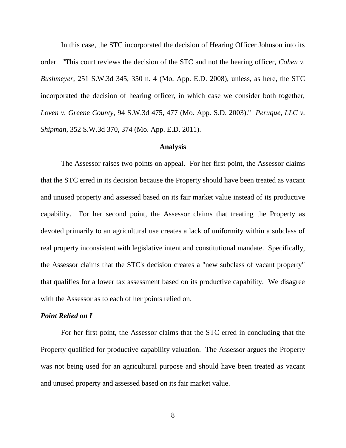In this case, the STC incorporated the decision of Hearing Officer Johnson into its order. "This court reviews the decision of the STC and not the hearing officer, *Cohen v. Bushmeyer,* 251 S.W.3d 345, 350 n. 4 (Mo. App. E.D. 2008), unless, as here, the STC incorporated the decision of hearing officer, in which case we consider both together, *Loven v. Greene County,* 94 S.W.3d 475, 477 (Mo. App. S.D. 2003)." *Peruque, LLC v. Shipman*, 352 S.W.3d 370, 374 (Mo. App. E.D. 2011).

#### **Analysis**

The Assessor raises two points on appeal. For her first point, the Assessor claims that the STC erred in its decision because the Property should have been treated as vacant and unused property and assessed based on its fair market value instead of its productive capability. For her second point, the Assessor claims that treating the Property as devoted primarily to an agricultural use creates a lack of uniformity within a subclass of real property inconsistent with legislative intent and constitutional mandate. Specifically, the Assessor claims that the STC's decision creates a "new subclass of vacant property" that qualifies for a lower tax assessment based on its productive capability. We disagree with the Assessor as to each of her points relied on.

#### *Point Relied on I*

For her first point, the Assessor claims that the STC erred in concluding that the Property qualified for productive capability valuation. The Assessor argues the Property was not being used for an agricultural purpose and should have been treated as vacant and unused property and assessed based on its fair market value.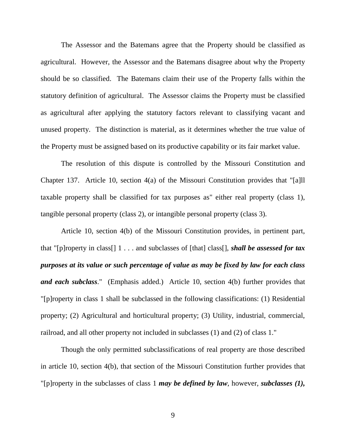The Assessor and the Batemans agree that the Property should be classified as agricultural. However, the Assessor and the Batemans disagree about why the Property should be so classified. The Batemans claim their use of the Property falls within the statutory definition of agricultural. The Assessor claims the Property must be classified as agricultural after applying the statutory factors relevant to classifying vacant and unused property. The distinction is material, as it determines whether the true value of the Property must be assigned based on its productive capability or its fair market value.

The resolution of this dispute is controlled by the Missouri Constitution and Chapter 137. Article 10, section 4(a) of the Missouri Constitution provides that "[a]ll taxable property shall be classified for tax purposes as" either real property (class 1), tangible personal property (class 2), or intangible personal property (class 3).

Article 10, section 4(b) of the Missouri Constitution provides, in pertinent part, that "[p]roperty in class[] 1 . . . and subclasses of [that] class[], *shall be assessed for tax purposes at its value or such percentage of value as may be fixed by law for each class and each subclass*." (Emphasis added.) Article 10, section 4(b) further provides that "[p]roperty in class 1 shall be subclassed in the following classifications: (1) Residential property; (2) Agricultural and horticultural property; (3) Utility, industrial, commercial, railroad, and all other property not included in subclasses (1) and (2) of class 1."

Though the only permitted subclassifications of real property are those described in article 10, section 4(b), that section of the Missouri Constitution further provides that "[p]roperty in the subclasses of class 1 *may be defined by law*, however, *subclasses (1),*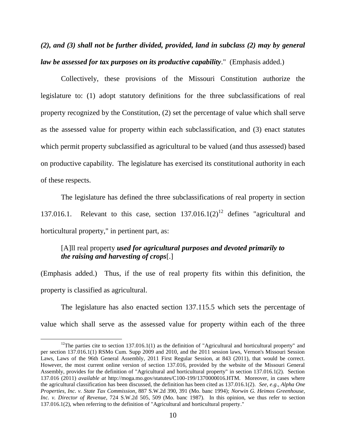*(2), and (3) shall not be further divided, provided, land in subclass (2) may by general law be assessed for tax purposes on its productive capability*." (Emphasis added.)

Collectively, these provisions of the Missouri Constitution authorize the legislature to: (1) adopt statutory definitions for the three subclassifications of real property recognized by the Constitution, (2) set the percentage of value which shall serve as the assessed value for property within each subclassification, and (3) enact statutes which permit property subclassified as agricultural to be valued (and thus assessed) based on productive capability. The legislature has exercised its constitutional authority in each of these respects.

The legislature has defined the three subclassifications of real property in section 137.016.1. Relevant to this case, section  $137.016.1(2)^{12}$  defines "agricultural and horticultural property," in pertinent part, as:

## [A]ll real property *used for agricultural purposes and devoted primarily to the raising and harvesting of crops*[.]

(Emphasis added.) Thus, if the use of real property fits within this definition, the property is classified as agricultural.

The legislature has also enacted section 137.115.5 which sets the percentage of value which shall serve as the assessed value for property within each of the three

<sup>&</sup>lt;sup>12</sup>The parties cite to section 137.016.1(1) as the definition of "Agricultural and horticultural property" and per section 137.016.1(1) RSMo Cum. Supp 2009 and 2010, and the 2011 session laws, Vernon's Missouri Session Laws, Laws of the 96th General Assembly, 2011 First Regular Session, at 843 (2011), that would be correct. However, the most current online version of section 137.016, provided by the website of the Missouri General Assembly, provides for the definition of "Agricultural and horticultural property" in section 137.016.1(2). Section 137.016 (2011) *available at* http://moga.mo.gov/statutes/C100-199/1370000016.HTM. Moreover, in cases where the agricultural classification has been discussed, the definition has been cited as 137.016.1(2). *See, e.g*., *Alpha One Properties, Inc. v. State Tax Commission*, 887 S.W.2d 390, 391 (Mo. banc 1994); *Norwin G. Heimos Greenhouse, Inc. v. Director of Revenue*, 724 S.W.2d 505, 509 (Mo. banc 1987). In this opinion, we thus refer to section 137.016.1(2), when referring to the definition of "Agricultural and horticultural property."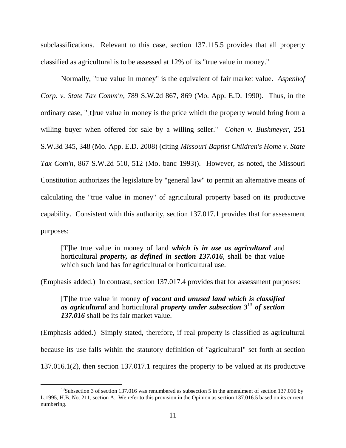subclassifications. Relevant to this case, section 137.115.5 provides that all property classified as agricultural is to be assessed at 12% of its "true value in money."

Normally, "true value in money" is the equivalent of fair market value. *Aspenhof Corp. v. State Tax Comm'n*, 789 S.W.2d 867, 869 (Mo. App. E.D. 1990). Thus, in the ordinary case, "[t]rue value in money is the price which the property would bring from a willing buyer when offered for sale by a willing seller." *Cohen v. Bushmeyer*, 251 S.W.3d 345, 348 (Mo. App. E.D. 2008) (citing *Missouri Baptist Children's Home v. State Tax Com'n*, 867 S.W.2d 510, 512 (Mo. banc 1993)). However, as noted, the Missouri Constitution authorizes the legislature by "general law" to permit an alternative means of calculating the "true value in money" of agricultural property based on its productive capability. Consistent with this authority, section 137.017.1 provides that for assessment purposes:

[T]he true value in money of land *which is in use as agricultural* and horticultural *property, as defined in section 137.016*, shall be that value which such land has for agricultural or horticultural use.

(Emphasis added.) In contrast, section 137.017.4 provides that for assessment purposes:

[T]he true value in money *of vacant and unused land which is classified as agricultural* and horticultural *property under subsection 3*<sup>13</sup> *of section 137.016* shall be its fair market value.

(Emphasis added.) Simply stated, therefore, if real property is classified as agricultural because its use falls within the statutory definition of "agricultural" set forth at section 137.016.1(2), then section 137.017.1 requires the property to be valued at its productive

<sup>&</sup>lt;sup>13</sup>Subsection 3 of section 137.016 was renumbered as subsection 5 in the amendment of section 137.016 by L.1995, H.B. No. 211, section A. We refer to this provision in the Opinion as section 137.016.5 based on its current numbering.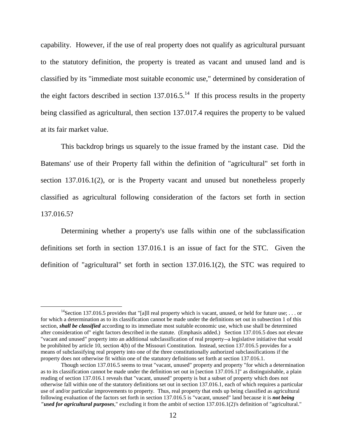capability. However, if the use of real property does not qualify as agricultural pursuant to the statutory definition, the property is treated as vacant and unused land and is classified by its "immediate most suitable economic use," determined by consideration of the eight factors described in section  $137.016.5$ <sup>14</sup> If this process results in the property being classified as agricultural, then section 137.017.4 requires the property to be valued at its fair market value.

This backdrop brings us squarely to the issue framed by the instant case. Did the Batemans' use of their Property fall within the definition of "agricultural" set forth in section 137.016.1(2), or is the Property vacant and unused but nonetheless properly classified as agricultural following consideration of the factors set forth in section 137.016.5?

Determining whether a property's use falls within one of the subclassification definitions set forth in section 137.016.1 is an issue of fact for the STC. Given the definition of "agricultural" set forth in section 137.016.1(2), the STC was required to

<sup>&</sup>lt;sup>14</sup>Section 137.016.5 provides that "[a]ll real property which is vacant, unused, or held for future use; ... or for which a determination as to its classification cannot be made under the definitions set out in subsection 1 of this section, *shall be classified* according to its immediate most suitable economic use, which use shall be determined after consideration of" eight factors described in the statute. (Emphasis added.) Section 137.016.5 does not elevate "vacant and unused" property into an additional subclassification of real property--a legislative initiative that would be prohibited by article 10, section 4(b) of the Missouri Constitution. Instead, section 137.016.5 provides for a means of subclassifying real property into one of the three constitutionally authorized subclassifications if the property does not otherwise fit within one of the statutory definitions set forth at section 137.016.1.

Though section 137.016.5 seems to treat "vacant, unused" property and property "for which a determination as to its classification cannot be made under the definition set out in [section 137.016.1]" as distinguishable, a plain reading of section 137.016.1 reveals that "vacant, unused" property is but a subset of property which does not otherwise fall within one of the statutory definitions set out in section 137.016.1, each of which requires a particular use of and/or particular improvements to property. Thus, real property that ends up being classified as agricultural following evaluation of the factors set forth in section 137.016.5 is "vacant, unused" land because it is *not being "used for agricultural purposes*," excluding it from the ambit of section 137.016.1(2)'s definition of "agricultural."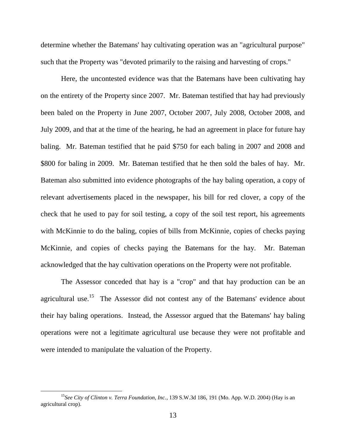determine whether the Batemans' hay cultivating operation was an "agricultural purpose" such that the Property was "devoted primarily to the raising and harvesting of crops."

Here, the uncontested evidence was that the Batemans have been cultivating hay on the entirety of the Property since 2007. Mr. Bateman testified that hay had previously been baled on the Property in June 2007, October 2007, July 2008, October 2008, and July 2009, and that at the time of the hearing, he had an agreement in place for future hay baling. Mr. Bateman testified that he paid \$750 for each baling in 2007 and 2008 and \$800 for baling in 2009. Mr. Bateman testified that he then sold the bales of hay. Mr. Bateman also submitted into evidence photographs of the hay baling operation, a copy of relevant advertisements placed in the newspaper, his bill for red clover, a copy of the check that he used to pay for soil testing, a copy of the soil test report, his agreements with McKinnie to do the baling, copies of bills from McKinnie, copies of checks paying McKinnie, and copies of checks paying the Batemans for the hay. Mr. Bateman acknowledged that the hay cultivation operations on the Property were not profitable.

The Assessor conceded that hay is a "crop" and that hay production can be an agricultural use.<sup>15</sup> The Assessor did not contest any of the Batemans' evidence about their hay baling operations. Instead, the Assessor argued that the Batemans' hay baling operations were not a legitimate agricultural use because they were not profitable and were intended to manipulate the valuation of the Property.

<sup>15</sup>*See City of Clinton v. Terra Foundation, Inc.*, 139 S.W.3d 186, 191 (Mo. App. W.D. 2004) (Hay is an agricultural crop).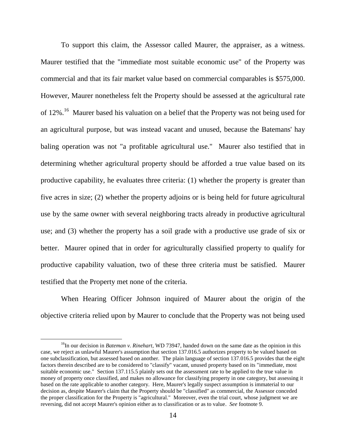To support this claim, the Assessor called Maurer, the appraiser, as a witness. Maurer testified that the "immediate most suitable economic use" of the Property was commercial and that its fair market value based on commercial comparables is \$575,000. However, Maurer nonetheless felt the Property should be assessed at the agricultural rate of 12%.<sup>16</sup> Maurer based his valuation on a belief that the Property was not being used for an agricultural purpose, but was instead vacant and unused, because the Batemans' hay baling operation was not "a profitable agricultural use." Maurer also testified that in determining whether agricultural property should be afforded a true value based on its productive capability, he evaluates three criteria: (1) whether the property is greater than five acres in size; (2) whether the property adjoins or is being held for future agricultural use by the same owner with several neighboring tracts already in productive agricultural use; and (3) whether the property has a soil grade with a productive use grade of six or better. Maurer opined that in order for agriculturally classified property to qualify for productive capability valuation, two of these three criteria must be satisfied. Maurer testified that the Property met none of the criteria.

When Hearing Officer Johnson inquired of Maurer about the origin of the objective criteria relied upon by Maurer to conclude that the Property was not being used

<sup>&</sup>lt;sup>16</sup>In our decision in *Bateman v. Rinehart*, WD 73947, handed down on the same date as the opinion in this case, we reject as unlawful Maurer's assumption that section 137.016.5 authorizes property to be valued based on one subclassification, but assessed based on another. The plain language of section 137.016.5 provides that the eight factors therein described are to be considered to "classify" vacant, unused property based on its "immediate, most suitable economic use." Section 137.115.5 plainly sets out the assessment rate to be applied to the true value in money of property once classified, and makes no allowance for classifying property in one category, but assessing it based on the rate applicable to another category. Here, Maurer's legally suspect assumption is immaterial to our decision as, despite Maurer's claim that the Property should be "classified" as commercial, the Assessor conceded the proper classification for the Property is "agricultural." Moreover, even the trial court, whose judgment we are reversing, did not accept Maurer's opinion either as to classification or as to value. *See* footnote 9.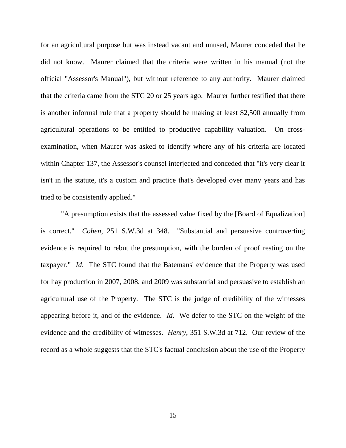for an agricultural purpose but was instead vacant and unused, Maurer conceded that he did not know. Maurer claimed that the criteria were written in his manual (not the official "Assessor's Manual"), but without reference to any authority. Maurer claimed that the criteria came from the STC 20 or 25 years ago. Maurer further testified that there is another informal rule that a property should be making at least \$2,500 annually from agricultural operations to be entitled to productive capability valuation. On crossexamination, when Maurer was asked to identify where any of his criteria are located within Chapter 137, the Assessor's counsel interjected and conceded that "it's very clear it isn't in the statute, it's a custom and practice that's developed over many years and has tried to be consistently applied."

"A presumption exists that the assessed value fixed by the [Board of Equalization] is correct." *Cohen*, 251 S.W.3d at 348. "Substantial and persuasive controverting evidence is required to rebut the presumption, with the burden of proof resting on the taxpayer." *Id*. The STC found that the Batemans' evidence that the Property was used for hay production in 2007, 2008, and 2009 was substantial and persuasive to establish an agricultural use of the Property. The STC is the judge of credibility of the witnesses appearing before it, and of the evidence. *Id*. We defer to the STC on the weight of the evidence and the credibility of witnesses. *Henry*, 351 S.W.3d at 712. Our review of the record as a whole suggests that the STC's factual conclusion about the use of the Property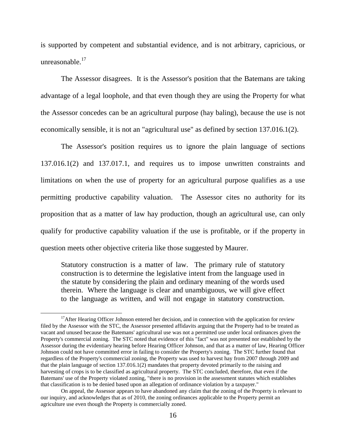is supported by competent and substantial evidence, and is not arbitrary, capricious, or unreasonable. 17

The Assessor disagrees. It is the Assessor's position that the Batemans are taking advantage of a legal loophole, and that even though they are using the Property for what the Assessor concedes can be an agricultural purpose (hay baling), because the use is not economically sensible, it is not an "agricultural use" as defined by section 137.016.1(2).

The Assessor's position requires us to ignore the plain language of sections 137.016.1(2) and 137.017.1, and requires us to impose unwritten constraints and limitations on when the use of property for an agricultural purpose qualifies as a use permitting productive capability valuation. The Assessor cites no authority for its proposition that as a matter of law hay production, though an agricultural use, can only qualify for productive capability valuation if the use is profitable, or if the property in question meets other objective criteria like those suggested by Maurer.

Statutory construction is a matter of law. The primary rule of statutory construction is to determine the legislative intent from the language used in the statute by considering the plain and ordinary meaning of the words used therein. Where the language is clear and unambiguous, we will give effect to the language as written, and will not engage in statutory construction.

<sup>&</sup>lt;sup>17</sup>After Hearing Officer Johnson entered her decision, and in connection with the application for review filed by the Assessor with the STC, the Assessor presented affidavits arguing that the Property had to be treated as vacant and unused because the Batemans' agricultural use was not a permitted use under local ordinances given the Property's commercial zoning. The STC noted that evidence of this "fact" was not presented nor established by the Assessor during the evidentiary hearing before Hearing Officer Johnson, and that as a matter of law, Hearing Officer Johnson could not have committed error in failing to consider the Property's zoning. The STC further found that regardless of the Property's commercial zoning, the Property was used to harvest hay from 2007 through 2009 and that the plain language of section 137.016.1(2) mandates that property devoted primarily to the raising and harvesting of crops is to be classified as agricultural property. The STC concluded, therefore, that even if the Batemans' use of the Property violated zoning, "there is no provision in the assessment statutes which establishes that classification is to be denied based upon an allegation of ordinance violation by a taxpayer."

On appeal, the Assessor appears to have abandoned any claim that the zoning of the Property is relevant to our inquiry, and acknowledges that as of 2010, the zoning ordinances applicable to the Property permit an agriculture use even though the Property is commercially zoned.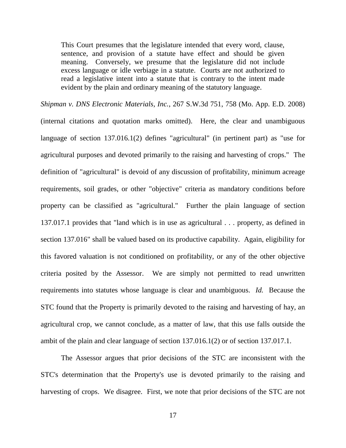This Court presumes that the legislature intended that every word, clause, sentence, and provision of a statute have effect and should be given meaning. Conversely, we presume that the legislature did not include excess language or idle verbiage in a statute. Courts are not authorized to read a legislative intent into a statute that is contrary to the intent made evident by the plain and ordinary meaning of the statutory language.

*Shipman v. DNS Electronic Materials, Inc.*, 267 S.W.3d 751, 758 (Mo. App. E.D. 2008) (internal citations and quotation marks omitted). Here, the clear and unambiguous language of section 137.016.1(2) defines "agricultural" (in pertinent part) as "use for agricultural purposes and devoted primarily to the raising and harvesting of crops." The definition of "agricultural" is devoid of any discussion of profitability, minimum acreage requirements, soil grades, or other "objective" criteria as mandatory conditions before property can be classified as "agricultural." Further the plain language of section 137.017.1 provides that "land which is in use as agricultural . . . property, as defined in section 137.016" shall be valued based on its productive capability. Again, eligibility for this favored valuation is not conditioned on profitability, or any of the other objective criteria posited by the Assessor. We are simply not permitted to read unwritten requirements into statutes whose language is clear and unambiguous. *Id.* Because the STC found that the Property is primarily devoted to the raising and harvesting of hay, an agricultural crop, we cannot conclude, as a matter of law, that this use falls outside the ambit of the plain and clear language of section 137.016.1(2) or of section 137.017.1.

The Assessor argues that prior decisions of the STC are inconsistent with the STC's determination that the Property's use is devoted primarily to the raising and harvesting of crops. We disagree. First, we note that prior decisions of the STC are not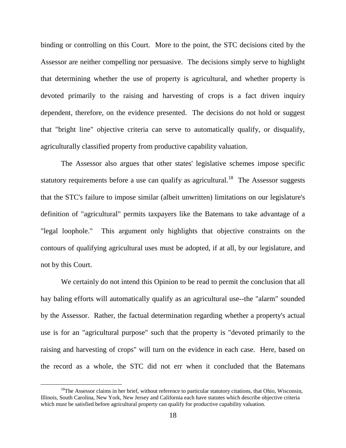binding or controlling on this Court. More to the point, the STC decisions cited by the Assessor are neither compelling nor persuasive. The decisions simply serve to highlight that determining whether the use of property is agricultural, and whether property is devoted primarily to the raising and harvesting of crops is a fact driven inquiry dependent, therefore, on the evidence presented. The decisions do not hold or suggest that "bright line" objective criteria can serve to automatically qualify, or disqualify, agriculturally classified property from productive capability valuation.

The Assessor also argues that other states' legislative schemes impose specific statutory requirements before a use can qualify as agricultural.<sup>18</sup> The Assessor suggests that the STC's failure to impose similar (albeit unwritten) limitations on our legislature's definition of "agricultural" permits taxpayers like the Batemans to take advantage of a "legal loophole." This argument only highlights that objective constraints on the contours of qualifying agricultural uses must be adopted, if at all, by our legislature, and not by this Court.

We certainly do not intend this Opinion to be read to permit the conclusion that all hay baling efforts will automatically qualify as an agricultural use--the "alarm" sounded by the Assessor. Rather, the factual determination regarding whether a property's actual use is for an "agricultural purpose" such that the property is "devoted primarily to the raising and harvesting of crops" will turn on the evidence in each case. Here, based on the record as a whole, the STC did not err when it concluded that the Batemans

<sup>&</sup>lt;sup>18</sup>The Assessor claims in her brief, without reference to particular statutory citations, that Ohio, Wisconsin, Illinois, South Carolina, New York, New Jersey and California each have statutes which describe objective criteria which must be satisfied before agricultural property can qualify for productive capability valuation.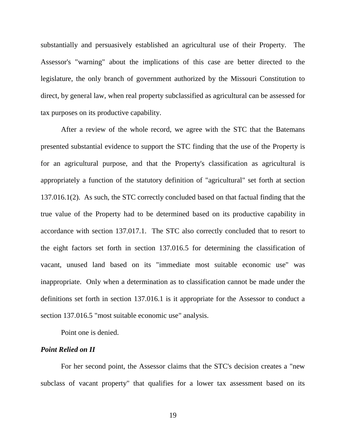substantially and persuasively established an agricultural use of their Property. The Assessor's "warning" about the implications of this case are better directed to the legislature, the only branch of government authorized by the Missouri Constitution to direct, by general law, when real property subclassified as agricultural can be assessed for tax purposes on its productive capability.

After a review of the whole record, we agree with the STC that the Batemans presented substantial evidence to support the STC finding that the use of the Property is for an agricultural purpose, and that the Property's classification as agricultural is appropriately a function of the statutory definition of "agricultural" set forth at section 137.016.1(2). As such, the STC correctly concluded based on that factual finding that the true value of the Property had to be determined based on its productive capability in accordance with section 137.017.1. The STC also correctly concluded that to resort to the eight factors set forth in section 137.016.5 for determining the classification of vacant, unused land based on its "immediate most suitable economic use" was inappropriate. Only when a determination as to classification cannot be made under the definitions set forth in section 137.016.1 is it appropriate for the Assessor to conduct a section 137.016.5 "most suitable economic use" analysis.

Point one is denied.

#### *Point Relied on II*

For her second point, the Assessor claims that the STC's decision creates a "new subclass of vacant property" that qualifies for a lower tax assessment based on its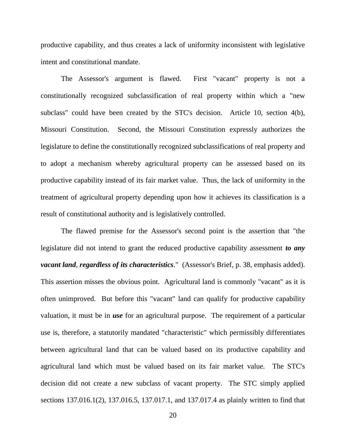productive capability, and thus creates a lack of uniformity inconsistent with legislative intent and constitutional mandate.

The Assessor's argument is flawed. First "vacant" property is not a constitutionally recognized subclassification of real property within which a "new subclass" could have been created by the STC's decision. Article 10, section 4(b), Missouri Constitution. Second, the Missouri Constitution expressly authorizes the legislature to define the constitutionally recognized subclassifications of real property and to adopt a mechanism whereby agricultural property can be assessed based on its productive capability instead of its fair market value. Thus, the lack of uniformity in the treatment of agricultural property depending upon how it achieves its classification is a result of constitutional authority and is legislatively controlled.

The flawed premise for the Assessor's second point is the assertion that "the legislature did not intend to grant the reduced productive capability assessment *to any vacant land*, *regardless of its characteristics*." (Assessor's Brief, p. 38, emphasis added). This assertion misses the obvious point. Agricultural land is commonly "vacant" as it is often unimproved. But before this "vacant" land can qualify for productive capability valuation, it must be in *use* for an agricultural purpose. The requirement of a particular use is, therefore, a statutorily mandated "characteristic" which permissibly differentiates between agricultural land that can be valued based on its productive capability and agricultural land which must be valued based on its fair market value. The STC's decision did not create a new subclass of vacant property. The STC simply applied sections 137.016.1(2), 137.016.5, 137.017.1, and 137.017.4 as plainly written to find that